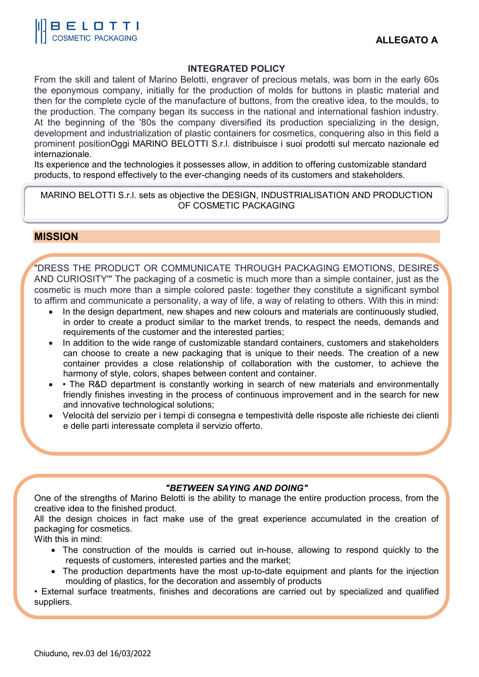

#### **INTEGRATED POLICY**

From the skill and talent of Marino Belotti, engraver of precious metals, was born in the early 60s the eponymous company, initially for the production of molds for buttons in plastic material and then for the complete cycle of the manufacture of buttons, from the creative idea, to the moulds, to the production. The company began its success in the national and international fashion industry. At the beginning of the '80s the company diversified its production specializing in the design, development and industrialization of plastic containers for cosmetics, conquering also in this field a prominent positionOggi MARINO BELOTTI S.r.l. distribuisce i suoi prodotti sul mercato nazionale ed internazionale.

Its experience and the technologies it possesses allow, in addition to offering customizable standard products, to respond effectively to the ever-changing needs of its customers and stakeholders.

MARINO BELOTTI S.r.l. sets as objective the DESIGN, INDUSTRIALISATION AND PRODUCTION OF COSMETIC PACKAGING

### **MISSION**

"DRESS THE PRODUCT OR COMMUNICATE THROUGH PACKAGING EMOTIONS, DESIRES AND CURIOSITY'" The packaging of a cosmetic is much more than a simple container, just as the cosmetic is much more than a simple colored paste: together they constitute a significant symbol to affirm and communicate a personality, a way of life, a way of relating to others. With this in mind:

- In the design department, new shapes and new colours and materials are continuously studied, in order to create a product similar to the market trends, to respect the needs, demands and requirements of the customer and the interested parties;
- In addition to the wide range of customizable standard containers, customers and stakeholders can choose to create a new packaging that is unique to their needs. The creation of a new container provides a close relationship of collaboration with the customer, to achieve the harmony of style, colors, shapes between content and container.
- The R&D department is constantly working in search of new materials and environmentally friendly finishes investing in the process of continuous improvement and in the search for new and innovative technological solutions;
- Velocità del servizio per i tempi di consegna e tempestività delle risposte alle richieste dei clienti e delle parti interessate completa il servizio offerto.

#### *"BETWEEN SAYING AND DOING"*

One of the strengths of Marino Belotti is the ability to manage the entire production process, from the creative idea to the finished product.

All the design choices in fact make use of the great experience accumulated in the creation of packaging for cosmetics.

With this in mind:

- The construction of the moulds is carried out in-house, allowing to respond quickly to the requests of customers, interested parties and the market;
- The production departments have the most up-to-date equipment and plants for the injection moulding of plastics, for the decoration and assembly of products

• External surface treatments, finishes and decorations are carried out by specialized and qualified suppliers.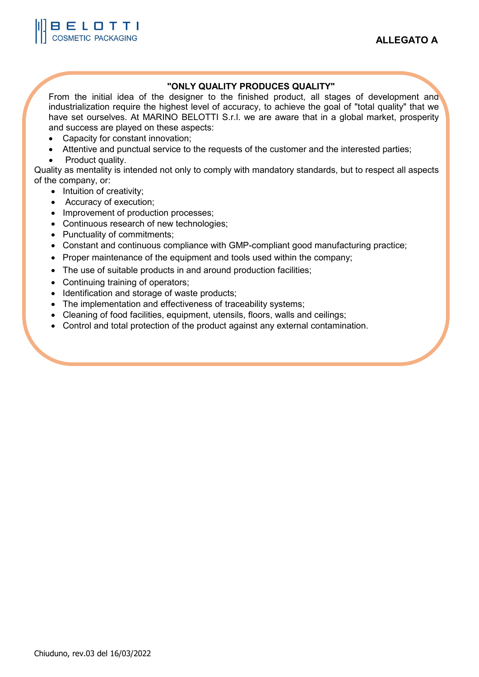## **"ONLY QUALITY PRODUCES QUALITY"**

From the initial idea of the designer to the finished product, all stages of development and industrialization require the highest level of accuracy, to achieve the goal of "total quality" that we have set ourselves. At MARINO BELOTTI S.r.l. we are aware that in a global market, prosperity and success are played on these aspects:

- Capacity for constant innovation;
- Attentive and punctual service to the requests of the customer and the interested parties;
- Product quality.

Quality as mentality is intended not only to comply with mandatory standards, but to respect all aspects of the company, or:

- Intuition of creativity;
- Accuracy of execution;
- Improvement of production processes;
- Continuous research of new technologies;
- Punctuality of commitments;
- Constant and continuous compliance with GMP-compliant good manufacturing practice;
- Proper maintenance of the equipment and tools used within the company;
- The use of suitable products in and around production facilities;
- Continuing training of operators;
- Identification and storage of waste products;
- The implementation and effectiveness of traceability systems;
- Cleaning of food facilities, equipment, utensils, floors, walls and ceilings;
- Control and total protection of the product against any external contamination.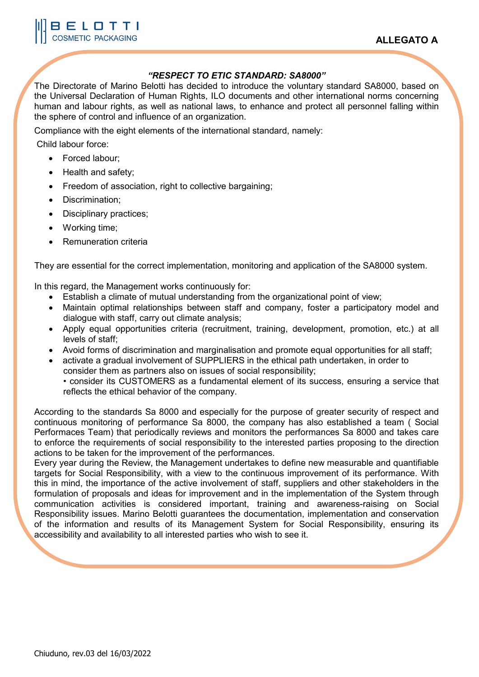### *"RESPECT TO ETIC STANDARD: SA8000"*

The Directorate of Marino Belotti has decided to introduce the voluntary standard SA8000, based on the Universal Declaration of Human Rights, ILO documents and other international norms concerning human and labour rights, as well as national laws, to enhance and protect all personnel falling within the sphere of control and influence of an organization.

Compliance with the eight elements of the international standard, namely:

Child labour force:

- Forced labour;
- Health and safety;
- Freedom of association, right to collective bargaining;
- Discrimination;
- Disciplinary practices;
- Working time;
- Remuneration criteria

They are essential for the correct implementation, monitoring and application of the SA8000 system.

In this regard, the Management works continuously for:

- Establish a climate of mutual understanding from the organizational point of view;
- Maintain optimal relationships between staff and company, foster a participatory model and dialogue with staff, carry out climate analysis;
- Apply equal opportunities criteria (recruitment, training, development, promotion, etc.) at all levels of staff;
- Avoid forms of discrimination and marginalisation and promote equal opportunities for all staff;
- activate a gradual involvement of SUPPLIERS in the ethical path undertaken, in order to consider them as partners also on issues of social responsibility; • consider its CUSTOMERS as a fundamental element of its success, ensuring a service that reflects the ethical behavior of the company.

According to the standards Sa 8000 and especially for the purpose of greater security of respect and continuous monitoring of performance Sa 8000, the company has also established a team ( Social Performaces Team) that periodically reviews and monitors the performances Sa 8000 and takes care to enforce the requirements of social responsibility to the interested parties proposing to the direction actions to be taken for the improvement of the performances.

Every year during the Review, the Management undertakes to define new measurable and quantifiable targets for Social Responsibility, with a view to the continuous improvement of its performance. With this in mind, the importance of the active involvement of staff, suppliers and other stakeholders in the formulation of proposals and ideas for improvement and in the implementation of the System through communication activities is considered important, training and awareness-raising on Social Responsibility issues. Marino Belotti guarantees the documentation, implementation and conservation of the information and results of its Management System for Social Responsibility, ensuring its accessibility and availability to all interested parties who wish to see it.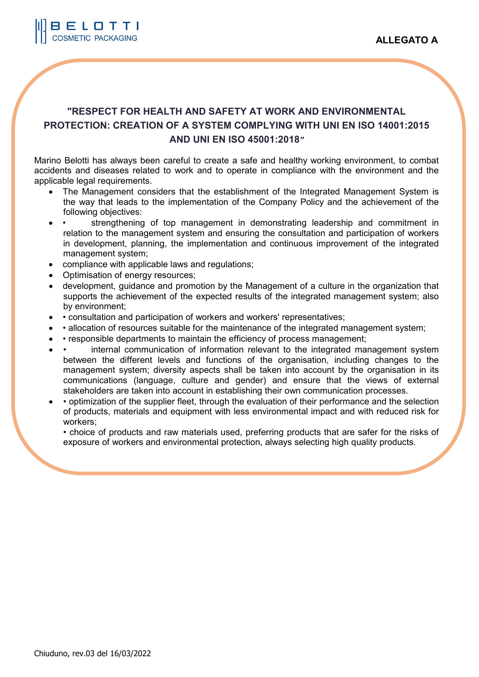

# **"RESPECT FOR HEALTH AND SAFETY AT WORK AND ENVIRONMENTAL PROTECTION: CREATION OF A SYSTEM COMPLYING WITH UNI EN ISO 14001:2015 AND UNI EN ISO 45001:2018***"*

Marino Belotti has always been careful to create a safe and healthy working environment, to combat accidents and diseases related to work and to operate in compliance with the environment and the applicable legal requirements.

- The Management considers that the establishment of the Integrated Management System is the way that leads to the implementation of the Company Policy and the achievement of the following objectives:
- • strengthening of top management in demonstrating leadership and commitment in relation to the management system and ensuring the consultation and participation of workers in development, planning, the implementation and continuous improvement of the integrated management system;
- compliance with applicable laws and regulations;
- Optimisation of energy resources;
- development, guidance and promotion by the Management of a culture in the organization that supports the achievement of the expected results of the integrated management system; also by environment;
- • consultation and participation of workers and workers' representatives;
- • allocation of resources suitable for the maintenance of the integrated management system;
- • responsible departments to maintain the efficiency of process management;
- • internal communication of information relevant to the integrated management system between the different levels and functions of the organisation, including changes to the management system; diversity aspects shall be taken into account by the organisation in its communications (language, culture and gender) and ensure that the views of external stakeholders are taken into account in establishing their own communication processes.
- • optimization of the supplier fleet, through the evaluation of their performance and the selection of products, materials and equipment with less environmental impact and with reduced risk for workers;

• choice of products and raw materials used, preferring products that are safer for the risks of exposure of workers and environmental protection, always selecting high quality products.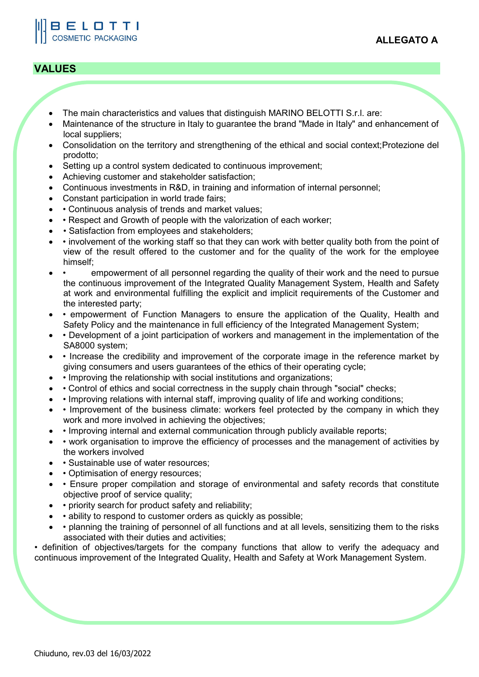# **VALUES**

BELOTTI **COSMETIC PACKAGING** 

- The main characteristics and values that distinguish MARINO BELOTTI S.r.l. are:
- Maintenance of the structure in Italy to guarantee the brand "Made in Italy" and enhancement of local suppliers;
- Consolidation on the territory and strengthening of the ethical and social context;Protezione del prodotto;
- Setting up a control system dedicated to continuous improvement;
- Achieving customer and stakeholder satisfaction;
- Continuous investments in R&D, in training and information of internal personnel;
- Constant participation in world trade fairs;
- • Continuous analysis of trends and market values;
- • Respect and Growth of people with the valorization of each worker;
- • Satisfaction from employees and stakeholders;
- • involvement of the working staff so that they can work with better quality both from the point of view of the result offered to the customer and for the quality of the work for the employee himself;
- • empowerment of all personnel regarding the quality of their work and the need to pursue the continuous improvement of the Integrated Quality Management System, Health and Safety at work and environmental fulfilling the explicit and implicit requirements of the Customer and the interested party;
- • empowerment of Function Managers to ensure the application of the Quality, Health and Safety Policy and the maintenance in full efficiency of the Integrated Management System;
- • Development of a joint participation of workers and management in the implementation of the SA8000 system;
- • Increase the credibility and improvement of the corporate image in the reference market by giving consumers and users guarantees of the ethics of their operating cycle;
- • Improving the relationship with social institutions and organizations;
- • Control of ethics and social correctness in the supply chain through "social" checks;
- • Improving relations with internal staff, improving quality of life and working conditions;
- Improvement of the business climate: workers feel protected by the company in which they work and more involved in achieving the objectives;
- • Improving internal and external communication through publicly available reports;
- • work organisation to improve the efficiency of processes and the management of activities by the workers involved
- • Sustainable use of water resources;
- Optimisation of energy resources;
- • Ensure proper compilation and storage of environmental and safety records that constitute objective proof of service quality;
- • priority search for product safety and reliability;
- • ability to respond to customer orders as quickly as possible;
- • planning the training of personnel of all functions and at all levels, sensitizing them to the risks associated with their duties and activities;

• definition of objectives/targets for the company functions that allow to verify the adequacy and continuous improvement of the Integrated Quality, Health and Safety at Work Management System.